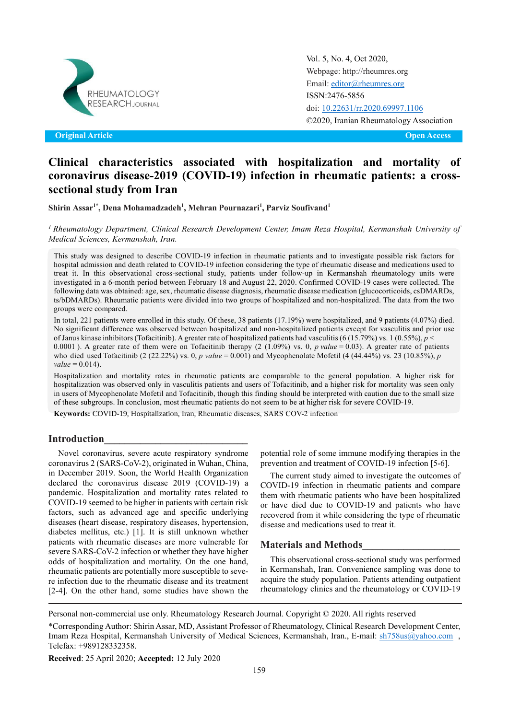

Original Article Open Access **Original Article Open Access**

Vol. 5, No. 4, Oct 2020, [Webpage: http://rheumres.org](http://rheumres.org/) Email[: editor@rheumres.org](mailto:editor@rheumres.org) ISSN:2476-5856 doi[: 10.22631/rr.2020.69997.1106](http://dx.doi.org/10.22631/rr.2017.69997.1021) ©2020, Iranian Rheumatology Association

# **Clinical characteristics associated with hospitalization and mortality of coronavirus disease-2019 (COVID-19) infection in rheumatic patients: a crosssectional study from Iran**

**Shirin Assar1\* , Dena Mohamadzadeh1 , Mehran Pournazari1 , Parviz Soufivand1**

*<sup>1</sup> Rheumatology Department, Clinical Research Development Center, Imam Reza Hospital, Kermanshah University of Medical Sciences, Kermanshah, Iran.*

This study was designed to describe COVID-19 infection in rheumatic patients and to investigate possible risk factors for hospital admission and death related to COVID-19 infection considering the type of rheumatic disease and medications used to treat it. In this observational cross-sectional study, patients under follow-up in Kermanshah rheumatology units were investigated in a 6-month period between February 18 and August 22, 2020. Confirmed COVID-19 cases were collected. The following data was obtained: age, sex, rheumatic disease diagnosis, rheumatic disease medication (glucocorticoids, csDMARDs, ts/bDMARDs). Rheumatic patients were divided into two groups of hospitalized and non-hospitalized. The data from the two groups were compared.

In total, 221 patients were enrolled in this study. Of these, 38 patients (17.19%) were hospitalized, and 9 patients (4.07%) died. No significant difference was observed between hospitalized and non-hospitalized patients except for vasculitis and prior use of Janus kinase inhibitors (Tofacitinib). A greater rate of hospitalized patients had vasculitis (6 (15.79%) vs. 1 (0.55%), *p* < 0.0001 ). A greater rate of them were on Tofacitinib therapy (2 (1.09%) vs. 0, *p value* = 0.03). A greater rate of patients who died used Tofacitinib (2 (22.22%) vs. 0, *p value* = 0.001) and Mycophenolate Mofetil (4 (44.44%) vs. 23 (10.85%), *p*  $value = 0.014$ .

Hospitalization and mortality rates in rheumatic patients are comparable to the general population. A higher risk for hospitalization was observed only in vasculitis patients and users of Tofacitinib, and a higher risk for mortality was seen only in users of Mycophenolate Mofetil and Tofacitinib, though this finding should be interpreted with caution due to the small size of these subgroups. In conclusion, most rheumatic patients do not seem to be at higher risk for severe COVID-19.

**Keywords:** COVID-19, Hospitalization, Iran, Rheumatic diseases, SARS COV-2 infection

#### **Introduction\_\_\_\_\_\_\_\_\_\_\_\_\_\_\_\_\_\_\_\_\_\_\_\_\_\_\_\_**

Novel coronavirus, severe acute respiratory syndrome coronavirus 2 (SARS-CoV-2), originated in Wuhan, China, in December 2019. Soon, the World Health Organization declared the coronavirus disease 2019 (COVID-19) a pandemic. Hospitalization and mortality rates related to COVID-19 seemed to be higher in patients with certain risk factors, such as advanced age and specific underlying diseases (heart disease, respiratory diseases, hypertension, diabetes mellitus, etc.) [1]. It is still unknown whether patients with rheumatic diseases are more vulnerable for severe SARS-CoV-2 infection or whether they have higher odds of hospitalization and mortality. On the one hand, rheumatic patients are potentially more susceptible to severe infection due to the rheumatic disease and its treatment [2-4]. On the other hand, some studies have shown the

potential role of some immune modifying therapies in the prevention and treatment of COVID-19 infection [5-6].

The current study aimed to investigate the outcomes of COVID-19 infection in rheumatic patients and compare them with rheumatic patients who have been hospitalized or have died due to COVID-19 and patients who have recovered from it while considering the type of rheumatic disease and medications used to treat it.

#### **Materials and Methods\_\_\_\_\_\_\_\_\_\_\_\_\_\_\_\_\_\_\_**

This observational cross-sectional study was performed in Kermanshah, Iran. Convenience sampling was done to acquire the study population. Patients attending outpatient rheumatology clinics and the rheumatology or COVID-19

Personal non-commercial use only. Rheumatology Research Journal. Copyright © 2020. All rights reserved

\*Corresponding Author: Shirin Assar, MD, Assistant Professor of Rheumatology, Clinical Research Development Center, Imam Reza Hospital, Kermanshah University of Medical Sciences, Kermanshah, Iran., E-mail: [sh758us@yahoo.com](mailto:sh758us@yahoo.com) , Telefax: +989128332358.

**Received**: 25 April 2020; **Accepted:** 12 July 2020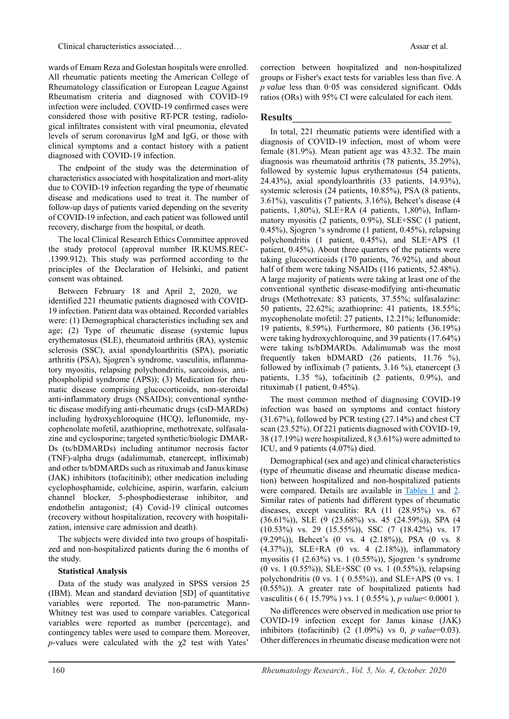wards of Emam Reza and Golestan hospitals were enrolled. All rheumatic patients meeting the American College of Rheumatology classification or European League Against Rheumatism criteria and diagnosed with COVID-19 infection were included. COVID-19 confirmed cases were considered those with positive RT-PCR testing, radiological infiltrates consistent with viral pneumonia, elevated levels of serum coronavirus IgM and IgG, or those with clinical symptoms and a contact history with a patient diagnosed with COVID-19 infection.

The endpoint of the study was the determination of characteristics associated with hospitalization and mort-ality due to COVID-19 infection regarding the type of rheumatic disease and medications used to treat it. The number of follow-up days of patients varied depending on the severity of COVID-19 infection, and each patient was followed until recovery, discharge from the hospital, or death.

The local Clinical Research Ethics Committee approved the study protocol (approval number IR.KUMS.REC- .1399.912). This study was performed according to the principles of the Declaration of Helsinki, and patient consent was obtained.

Between February 18 and April 2, 2020, we identified 221 rheumatic patients diagnosed with COVID-19 infection. Patient data was obtained. Recorded variables were: (1) Demographical characteristics including sex and age; (2) Type of rheumatic disease (systemic lupus erythematosus (SLE), rheumatoid arthritis (RA), systemic sclerosis (SSC), axial spondyloarthritis (SPA), psoriatic arthritis (PSA), Sjogren's syndrome, vasculitis, inflammatory myositis, relapsing polychondritis, sarcoidosis, antiphospholipid syndrome (APS)); (3) Medication for rheumatic disease comprising glucocorticoids, non-steroidal anti-inflammatory drugs (NSAIDs); conventional synthetic disease modifying anti-rheumatic drugs (csD-MARDs) including hydroxychloroquine (HCQ), leflunomide, mycophenolate mofetil, azathioprine, methotrexate, sulfasalazine and cyclosporine; targeted synthetic/biologic DMAR-Ds (ts/bDMARDs) including antitumor necrosis factor (TNF)-alpha drugs (adalimumab, etanercept, infliximab) and other ts/bDMARDs such as rituximab and Janus kinase (JAK) inhibitors (tofacitinib); other medication including cyclophosphamide, colchicine, aspirin, warfarin, calcium channel blocker, 5-phosphodiesterase inhibitor, and endothelin antagonist; (4) Covid-19 clinical outcomes (recovery without hospitalization, recovery with hospitalization, intensive care admission and death).

The subjects were divided into two groups of hospitalized and non-hospitalized patients during the 6 months of the study.

#### **Statistical Analysis**

Data of the study was analyzed in SPSS version 25 (IBM). Mean and standard deviation [SD] of quantitative variables were reported. The non-parametric Mann-Whitney test was used to compare variables. Categorical variables were reported as number (percentage), and contingency tables were used to compare them. Moreover,  $p$ -values were calculated with the  $\chi$ <sup>2</sup> test with Yates'

correction between hospitalized and non-hospitalized groups or Fisher's exact tests for variables less than five. A *p value* less than 0·05 was considered significant. Odds ratios (ORs) with 95% CI were calculated for each item.

## **Results\_\_\_\_\_\_\_\_\_\_\_\_\_\_\_\_\_\_\_\_\_\_\_\_\_\_\_\_\_\_\_**

In total, 221 rheumatic patients were identified with a diagnosis of COVID-19 infection, most of whom were female (81.9%). Mean patient age was 43.32. The main diagnosis was rheumatoid arthritis (78 patients, 35.29%), followed by systemic lupus erythematosus (54 patients, 24.43%), axial spondyloarthritis (33 patients, 14.93%), systemic sclerosis (24 patients, 10.85%), PSA (8 patients, 3.61%), vasculitis (7 patients, 3.16%), Behcet's disease (4 patients, 1,80%), SLE+RA (4 patients, 1,80%), Inflammatory myositis (2 patients, 0.9%), SLE+SSC (1 patient, 0.45%), Sjogren 's syndrome (1 patient, 0.45%), relapsing polychondritis (1 patient, 0.45%), and SLE+APS (1 patient, 0.45%). About three quarters of the patients were taking glucocorticoids (170 patients, 76.92%), and about half of them were taking NSAIDs (116 patients, 52.48%). A large majority of patients were taking at least one of the conventional synthetic disease-modifying anti-rheumatic drugs (Methotrexate: 83 patients, 37.55%; sulfasalazine: 50 patients, 22.62%; azathioprine: 41 patients, 18.55%; mycophenolate mofetil: 27 patients, 12.21%; leflunomide: 19 patients, 8.59%). Furthermore, 80 patients (36.19%) were taking hydroxychloroquine, and 39 patients (17.64%) were taking ts/bDMARDs. Adalimumab was the most frequently taken bDMARD (26 patients, 11.76 %), followed by infliximab (7 patients, 3.16 %), etanercept (3 patients, 1.35 %), tofacitinib (2 patients, 0.9%), and rituximab (1 patient, 0.45%).

The most common method of diagnosing COVID-19 infection was based on symptoms and contact history (31.67%), followed by PCR testing (27.14%) and chest CT scan (23.52%). Of 221 patients diagnosed with COVID-19, 38 (17.19%) were hospitalized, 8 (3.61%) were admitted to ICU, and 9 patients (4.07%) died.

Demographical (sex and age) and clinical characteristics (type of rheumatic disease and rheumatic disease medication) between hospitalized and non-hospitalized patients were compared. Details are available in Tables 1 and [2.](#page-3-0) Similar rates of patients had different types of rheumatic diseases, except vasculitis: RA (11 (28.95%) vs. 67 (36.61%)), SLE (9 (23.68%) vs. 45 (24.59%)), SPA (4 (10.53%) vs. 29 (15.55%)), SSC (7 (18.42%) vs. 17 (9.29%)), Behcet's (0 vs. 4 (2.18%)), PSA (0 vs. 8 (4.37%)), SLE+RA (0 vs. 4 (2.18%)), inflammatory myositis (1 (2.63%) vs. 1 (0.55%)), Sjogren 's syndrome (0 vs. 1 (0.55%)), SLE+SSC (0 vs. 1 (0.55%)), relapsing polychondritis (0 vs. 1 ( 0.55%)), and SLE+APS (0 vs. 1 (0.55%)). A greater rate of hospitalized patients had vasculitis ( 6 ( 15.79% ) vs. 1 ( 0.55% ), *p value*< 0.0001 ).

No differences were observed in medication use prior to COVID-19 infection except for Janus kinase (JAK) inhibitors (tofacitinib) (2 (1.09%) vs 0, *p value*=0.03). Other differences in rheumatic disease medication were not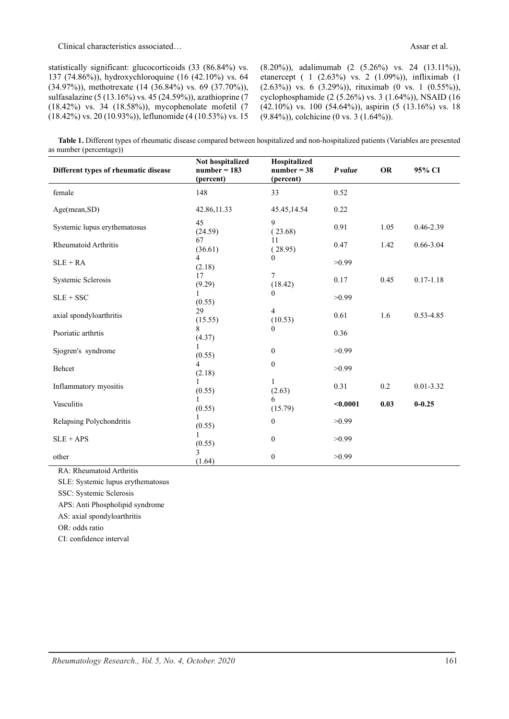statistically significant: glucocorticoids (33 (86.84%) vs. 137 (74.86%)), hydroxychloroquine (16 (42.10%) vs. 64 (34.97%)), methotrexate (14 (36.84%) vs. 69 (37.70%)), sulfasalazine (5 (13.16%) vs. 45 (24.59%)), azathioprine (7 (18.42%) vs. 34 (18.58%)), mycophenolate mofetil (7 (18.42%) vs. 20 (10.93%)), leflunomide (4 (10.53%) vs. 15 (8.20%)), adalimumab (2 (5.26%) vs. 24 (13.11%)), etanercept ( 1 (2.63%) vs. 2 (1.09%)), infliximab (1 (2.63%)) vs. 6 (3.29%)), rituximab (0 vs. 1 (0.55%)), cyclophosphamide (2 (5.26%) vs. 3 (1.64%)), NSAID (16 (42.10%) vs. 100 (54.64%)), aspirin (5 (13.16%) vs. 18 (9.84%)), colchicine (0 vs. 3 (1.64%)).

**Table 1.** Different types of rheumatic disease compared between hospitalized and non-hospitalized patients (Variables are presented as number (percentage))

| Different types of rheumatic disease | Not hospitalized<br>$number = 183$<br>(percent) | Hospitalized<br>$number = 38$<br>(percent) | P value  | OR   | 95% CI        |
|--------------------------------------|-------------------------------------------------|--------------------------------------------|----------|------|---------------|
| female                               | 148                                             | 33                                         | 0.52     |      |               |
| Age(mean, SD)                        | 42.86,11.33                                     | 45.45,14.54                                | 0.22     |      |               |
| Systemic lupus erythematosus         | 45<br>(24.59)                                   | 9<br>(23.68)                               | 0.91     | 1.05 | $0.46 - 2.39$ |
| Rheumatoid Arthritis                 | 67<br>(36.61)                                   | 11<br>(28.95)                              | 0.47     | 1.42 | $0.66 - 3.04$ |
| $SLE + RA$                           | 4<br>(2.18)                                     | $\overline{0}$                             | >0.99    |      |               |
| Systemic Sclerosis                   | 17<br>(9.29)                                    | $\tau$<br>(18.42)                          | 0.17     | 0.45 | $0.17 - 1.18$ |
| $SLE + SSC$                          | (0.55)                                          | $\Omega$                                   | >0.99    |      |               |
| axial spondyloarthritis              | 29<br>(15.55)                                   | $\overline{4}$<br>(10.53)                  | 0.61     | 1.6  | $0.53 - 4.85$ |
| Psoriatic arthrtis                   | 8<br>(4.37)                                     | 0                                          | 0.36     |      |               |
| Sjogren's syndrome                   | 1<br>(0.55)                                     | $\boldsymbol{0}$                           | >0.99    |      |               |
| Behcet                               | 4<br>(2.18)                                     | $\boldsymbol{0}$                           | >0.99    |      |               |
| Inflammatory myositis                | (0.55)                                          | 1<br>(2.63)                                | 0.31     | 0.2  | $0.01 - 3.32$ |
| Vasculitis                           | (0.55)                                          | 6<br>(15.79)                               | $0.0001$ | 0.03 | $0 - 0.25$    |
| Relapsing Polychondritis             | (0.55)                                          | $\boldsymbol{0}$                           | >0.99    |      |               |
| $SLE + APS$                          | (0.55)                                          | $\boldsymbol{0}$                           | >0.99    |      |               |
| other                                | 3<br>(1.64)                                     | $\boldsymbol{0}$                           | >0.99    |      |               |

RA: Rheumatoid Arthritis

SLE: Systemic lupus erythematosus

SSC: Systemic Sclerosis

APS: Anti Phospholipid syndrome

AS: axial spondyloarthritis

OR: odds ratio

CI: confidence interval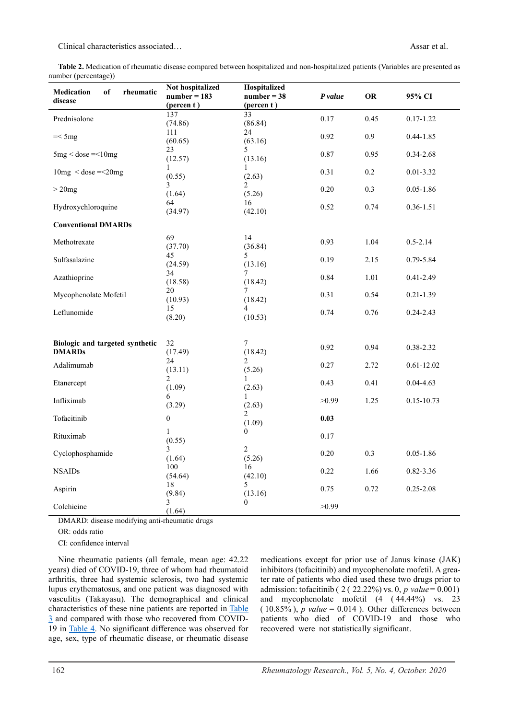<span id="page-3-0"></span>**Table 2.** Medication of rheumatic disease compared between hospitalized and non-hospitalized patients (Variables are presented as number (percentage))

|                                      | Not hospitalized      | Hospitalized     |         |      |                |
|--------------------------------------|-----------------------|------------------|---------|------|----------------|
| of<br><b>Medication</b><br>rheumatic | $number = 183$        | $number = 38$    | P value | OR   | 95% CI         |
| disease                              | $(\text{percent } t)$ | (percent)        |         |      |                |
|                                      | 137                   | 33               |         |      |                |
| Prednisolone                         | (74.86)               | (86.84)          | 0.17    | 0.45 | $0.17 - 1.22$  |
|                                      | 111                   | 24               |         |      |                |
| $=<5mg$                              | (60.65)               | (63.16)          | 0.92    | 0.9  | $0.44 - 1.85$  |
|                                      | 23                    | 5                |         |      |                |
| $5mg <$ dose $=<$ 10mg               | (12.57)               | (13.16)          | 0.87    | 0.95 | $0.34 - 2.68$  |
|                                      | 1                     | 1                |         |      |                |
| $10mg <$ dose = < 20mg               | (0.55)                | (2.63)           | 0.31    | 0.2  | $0.01 - 3.32$  |
|                                      | 3                     | 2                |         |      |                |
| $>20$ mg                             | (1.64)                | (5.26)           | 0.20    | 0.3  | $0.05 - 1.86$  |
|                                      | 64                    | 16               |         |      |                |
| Hydroxychloroquine                   |                       |                  | 0.52    | 0.74 | $0.36 - 1.51$  |
|                                      | (34.97)               | (42.10)          |         |      |                |
| <b>Conventional DMARDs</b>           |                       |                  |         |      |                |
|                                      |                       |                  |         |      |                |
| Methotrexate                         | 69                    | 14               | 0.93    | 1.04 | $0.5 - 2.14$   |
|                                      | (37.70)               | (36.84)          |         |      |                |
| Sulfasalazine                        | 45                    | 5                | 0.19    | 2.15 | 0.79-5.84      |
|                                      | (24.59)               | (13.16)          |         |      |                |
| Azathioprine                         | 34                    | 7                | 0.84    | 1.01 | $0.41 - 2.49$  |
|                                      | (18.58)               | (18.42)          |         |      |                |
| Mycophenolate Mofetil                | 20                    | 7                | 0.31    | 0.54 | $0.21 - 1.39$  |
|                                      | (10.93)               | (18.42)          |         |      |                |
| Leflunomide                          | 15                    | 4                | 0.74    | 0.76 | $0.24 - 2.43$  |
|                                      | (8.20)                | (10.53)          |         |      |                |
|                                      |                       |                  |         |      |                |
|                                      |                       |                  |         |      |                |
| Biologic and targeted synthetic      | 32                    | 7                |         |      |                |
| <b>DMARDs</b>                        | (17.49)               | (18.42)          | 0.92    | 0.94 | $0.38 - 2.32$  |
|                                      | 24                    | $\overline{2}$   |         |      |                |
| Adalimumab                           | (13.11)               | (5.26)           | 0.27    | 2.72 | $0.61 - 12.02$ |
|                                      | 2                     | 1                |         |      |                |
| Etanercept                           | (1.09)                | (2.63)           | 0.43    | 0.41 | $0.04 - 4.63$  |
|                                      | 6                     | 1                |         |      |                |
| Infliximab                           | (3.29)                | (2.63)           | >0.99   | 1.25 | $0.15 - 10.73$ |
|                                      |                       | 2                |         |      |                |
| Tofacitinib                          | $\mathbf{0}$          | (1.09)           | 0.03    |      |                |
|                                      |                       | $\mathbf{0}$     |         |      |                |
| Rituximab                            | $\mathbf{1}$          |                  | 0.17    |      |                |
|                                      | (0.55)                |                  |         |      |                |
| Cyclophosphamide                     | 3                     | $\overline{2}$   | 0.20    | 0.3  | $0.05 - 1.86$  |
|                                      | (1.64)                | (5.26)           |         |      |                |
| <b>NSAIDs</b>                        | 100                   | 16               | 0.22    | 1.66 | $0.82 - 3.36$  |
|                                      | (54.64)               | (42.10)          |         |      |                |
| Aspirin                              | 18                    | 5                | 0.75    | 0.72 | $0.25 - 2.08$  |
|                                      | (9.84)                | (13.16)          |         |      |                |
| Colchicine                           | 3                     | $\boldsymbol{0}$ | >0.99   |      |                |
|                                      | (1.64)                |                  |         |      |                |

DMARD: disease modifying anti-rheumatic drugs

OR: odds ratio

CI: confidence interval

<span id="page-3-1"></span>Nine rheumatic patients (all female, mean age: 42.22 years) died of COVID-19, three of whom had rheumatoid arthritis, three had systemic sclerosis, two had systemic lupus erythematosus, and one patient was diagnosed with vasculitis (Takayasu). The demographical and clinical characteristics of these nine patients are reported in [Table](#page-3-1)  [3](#page-3-1) and compared with those who recovered from COVID-19 in [Table 4.](#page-5-0) No significant difference was observed for age, sex, type of rheumatic disease, or rheumatic disease

medications except for prior use of Janus kinase (JAK) inhibitors (tofacitinib) and mycophenolate mofetil. A greater rate of patients who died used these two drugs prior to admission: tofacitinib ( 2 ( 22.22%) vs. 0, *p value* = 0.001) and mycophenolate mofetil (4 ( 44.44%) vs. 23  $(10.85\%)$ , *p value* = 0.014 ). Other differences between patients who died of COVID-19 and those who recovered were not statistically significant.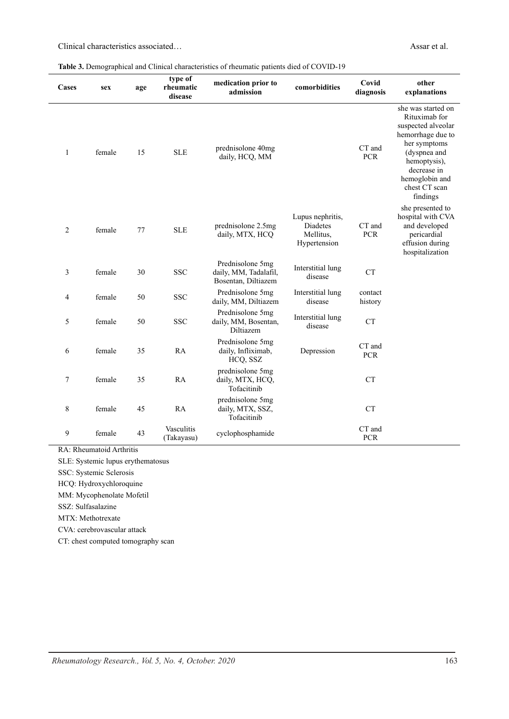| Cases          | sex    | age | type of<br>rheumatic     | medication prior to                                              | comorbidities                                             | Covid                | other                                                                                                                                                                                        |  |
|----------------|--------|-----|--------------------------|------------------------------------------------------------------|-----------------------------------------------------------|----------------------|----------------------------------------------------------------------------------------------------------------------------------------------------------------------------------------------|--|
|                |        |     | disease                  | admission                                                        |                                                           | diagnosis            | explanations                                                                                                                                                                                 |  |
| $\mathbf{1}$   | female | 15  | <b>SLE</b>               | prednisolone 40mg<br>daily, HCQ, MM                              |                                                           | CT and<br><b>PCR</b> | she was started on<br>Rituximab for<br>suspected alveolar<br>hemorrhage due to<br>her symptoms<br>(dyspnea and<br>hemoptysis),<br>decrease in<br>hemoglobin and<br>chest CT scan<br>findings |  |
| $\overline{2}$ | female | 77  | <b>SLE</b>               | prednisolone 2.5mg<br>daily, MTX, HCQ                            | Lupus nephritis,<br>Diadetes<br>Mellitus,<br>Hypertension | CT and<br><b>PCR</b> | she presented to<br>hospital with CVA<br>and developed<br>pericardial<br>effusion during<br>hospitalization                                                                                  |  |
| 3              | female | 30  | <b>SSC</b>               | Prednisolone 5mg<br>daily, MM, Tadalafil,<br>Bosentan, Diltiazem | Interstitial lung<br>disease                              | CT                   |                                                                                                                                                                                              |  |
| 4              | female | 50  | <b>SSC</b>               | Prednisolone 5mg<br>daily, MM, Diltiazem                         | Interstitial lung<br>disease                              | contact<br>history   |                                                                                                                                                                                              |  |
| 5              | female | 50  | <b>SSC</b>               | Prednisolone 5mg<br>daily, MM, Bosentan,<br>Diltiazem            | Interstitial lung<br>disease                              | <b>CT</b>            |                                                                                                                                                                                              |  |
| 6              | female | 35  | RA                       | Prednisolone 5mg<br>daily, Infliximab,<br>HCQ, SSZ               | Depression                                                | CT and<br><b>PCR</b> |                                                                                                                                                                                              |  |
| 7              | female | 35  | RA                       | prednisolone 5mg<br>daily, MTX, HCQ,<br>Tofacitinib              |                                                           | <b>CT</b>            |                                                                                                                                                                                              |  |
| 8              | female | 45  | RA                       | prednisolone 5mg<br>daily, MTX, SSZ,<br>Tofacitinib              |                                                           | CT                   |                                                                                                                                                                                              |  |
| 9              | female | 43  | Vasculitis<br>(Takayasu) | cyclophosphamide                                                 |                                                           | CT and<br><b>PCR</b> |                                                                                                                                                                                              |  |

RA: Rheumatoid Arthritis

SLE: Systemic lupus erythematosus

SSC: Systemic Sclerosis

HCQ: Hydroxychloroquine

MM: Mycophenolate Mofetil

SSZ: Sulfasalazine

MTX: Methotrexate

CVA: cerebrovascular attack

CT: chest computed tomography scan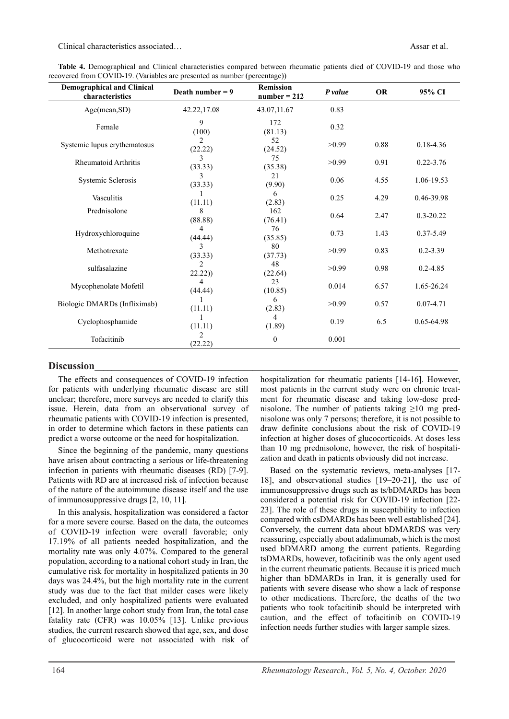<span id="page-5-0"></span>**Table 4.** Demographical and Clinical characteristics compared between rheumatic patients died of COVID-19 and those who recovered from COVID-19. (Variables are presented as number (percentage))

| <b>Demographical and Clinical</b><br>characteristics | Death number $= 9$        | <b>Remission</b><br>$number = 212$ | P value | <b>OR</b> | 95% CI        |
|------------------------------------------------------|---------------------------|------------------------------------|---------|-----------|---------------|
| Age(mean, SD)                                        | 42.22,17.08               | 43.07,11.67                        | 0.83    |           |               |
| Female                                               | 9<br>(100)                | 172<br>(81.13)                     | 0.32    |           |               |
| Systemic lupus erythematosus                         | $\mathfrak{D}$<br>(22.22) | 52<br>(24.52)                      | >0.99   | 0.88      | $0.18 - 4.36$ |
| <b>Rheumatoid Arthritis</b>                          | 3<br>(33.33)              | 75<br>(35.38)                      | >0.99   | 0.91      | $0.22 - 3.76$ |
| Systemic Sclerosis                                   | 3<br>(33.33)              | 21<br>(9.90)                       | 0.06    | 4.55      | 1.06-19.53    |
| Vasculitis                                           | (11.11)                   | 6<br>(2.83)                        | 0.25    | 4.29      | 0.46-39.98    |
| Prednisolone                                         | 8<br>(88.88)              | 162<br>(76.41)                     | 0.64    | 2.47      | $0.3 - 20.22$ |
| Hydroxychloroquine                                   | (44.44)                   | 76<br>(35.85)                      | 0.73    | 1.43      | $0.37 - 5.49$ |
| Methotrexate                                         | 3<br>(33.33)              | 80<br>(37.73)                      | >0.99   | 0.83      | $0.2 - 3.39$  |
| sulfasalazine                                        | $\mathcal{D}$<br>22.22)   | 48<br>(22.64)                      | >0.99   | 0.98      | $0.2 - 4.85$  |
| Mycophenolate Mofetil                                | 4<br>(44.44)              | 23<br>(10.85)                      | 0.014   | 6.57      | 1.65-26.24    |
| Biologic DMARDs (Infliximab)                         | (11.11)                   | 6<br>(2.83)                        | >0.99   | 0.57      | $0.07 - 4.71$ |
| Cyclophosphamide                                     | 1<br>(11.11)              | 4<br>(1.89)                        | 0.19    | 6.5       | 0.65-64.98    |
| Tofacitinib                                          | 2<br>(22.22)              | 0                                  | 0.001   |           |               |

# **Discussion\_\_\_\_\_\_\_\_\_\_\_\_\_\_\_\_\_\_\_\_\_\_\_\_\_\_\_\_\_\_\_\_\_\_\_\_\_\_\_\_\_\_\_\_\_\_\_\_\_\_\_\_\_\_\_\_\_\_\_\_\_\_\_\_\_\_\_\_\_\_\_\_\_\_\_\_\_\_\_\_\_\_\_\_\_**

The effects and consequences of COVID-19 infection for patients with underlying rheumatic disease are still unclear; therefore, more surveys are needed to clarify this issue. Herein, data from an observational survey of rheumatic patients with COVID-19 infection is presented, in order to determine which factors in these patients can predict a worse outcome or the need for hospitalization.

Since the beginning of the pandemic, many questions have arisen about contracting a serious or life-threatening infection in patients with rheumatic diseases (RD) [7-9]. Patients with RD are at increased risk of infection because of the nature of the autoimmune disease itself and the use of immunosuppressive drugs [2, 10, 11].

In this analysis, hospitalization was considered a factor for a more severe course. Based on the data, the outcomes of COVID-19 infection were overall favorable; only 17.19% of all patients needed hospitalization, and the mortality rate was only 4.07%. Compared to the general population, according to a national cohort study in Iran, the cumulative risk for mortality in hospitalized patients in 30 days was 24.4%, but the high mortality rate in the current study was due to the fact that milder cases were likely excluded, and only hospitalized patients were evaluated [12]. In another large cohort study from Iran, the total case fatality rate (CFR) was 10.05% [13]. Unlike previous studies, the current research showed that age, sex, and dose of glucocorticoid were not associated with risk of hospitalization for rheumatic patients [14-16]. However, most patients in the current study were on chronic treatment for rheumatic disease and taking low-dose prednisolone. The number of patients taking  $\geq 10$  mg prednisolone was only 7 persons; therefore, it is not possible to draw definite conclusions about the risk of COVID-19 infection at higher doses of glucocorticoids. At doses less than 10 mg prednisolone, however, the risk of hospitalization and death in patients obviously did not increase.

Based on the systematic reviews, meta-analyses [17- 18], and observational studies [19–20-21], the use of immunosuppressive drugs such as ts/bDMARDs has been considered a potential risk for COVID-19 infection [22- 23]. The role of these drugs in susceptibility to infection compared with csDMARDs has been well established [24]. Conversely, the current data about bDMARDS was very reassuring, especially about adalimumab, which is the most used bDMARD among the current patients. Regarding tsDMARDs, however, tofacitinib was the only agent used in the current rheumatic patients. Because it is priced much higher than bDMARDs in Iran, it is generally used for patients with severe disease who show a lack of response to other medications. Therefore, the deaths of the two patients who took tofacitinib should be interpreted with caution, and the effect of tofacitinib on COVID-19 infection needs further studies with larger sample sizes.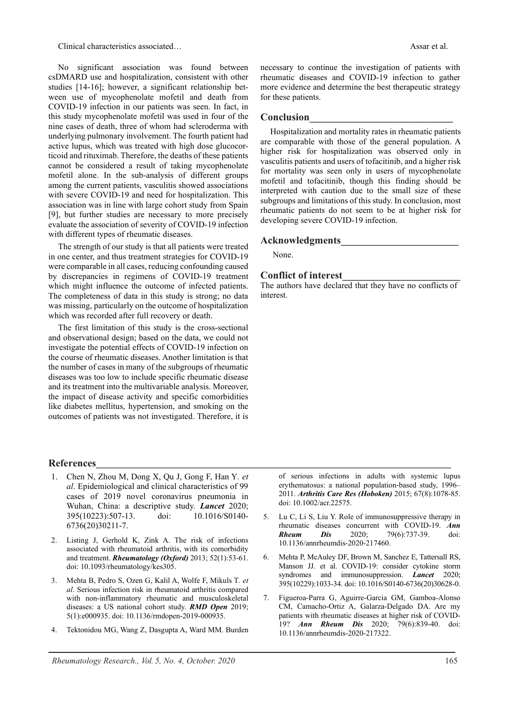No significant association was found between csDMARD use and hospitalization, consistent with other studies [14-16]; however, a significant relationship between use of mycophenolate mofetil and death from COVID-19 infection in our patients was seen. In fact, in this study mycophenolate mofetil was used in four of the nine cases of death, three of whom had scleroderma with underlying pulmonary involvement. The fourth patient had active lupus, which was treated with high dose glucocorticoid and rituximab. Therefore, the deaths of these patients cannot be considered a result of taking mycophenolate mofetil alone. In the sub-analysis of different groups among the current patients, vasculitis showed associations with severe COVID-19 and need for hospitalization. This association was in line with large cohort study from Spain [9], but further studies are necessary to more precisely evaluate the association of severity of COVID-19 infection with different types of rheumatic diseases.

The strength of our study is that all patients were treated in one center, and thus treatment strategies for COVID-19 were comparable in all cases, reducing confounding caused by discrepancies in regimens of COVID-19 treatment which might influence the outcome of infected patients. The completeness of data in this study is strong; no data was missing, particularly on the outcome of hospitalization which was recorded after full recovery or death.

The first limitation of this study is the cross-sectional and observational design; based on the data, we could not investigate the potential effects of COVID-19 infection on the course of rheumatic diseases. Another limitation is that the number of cases in many of the subgroups of rheumatic diseases was too low to include specific rheumatic disease and its treatment into the multivariable analysis. Moreover, the impact of disease activity and specific comorbidities like diabetes mellitus, hypertension, and smoking on the outcomes of patients was not investigated. Therefore, it is

- 1. Chen N, Zhou M, Dong X, Qu J, Gong F, Han Y*. et al*. Epidemiological and clinical characteristics of 99 cases of 2019 novel coronavirus pneumonia in Wuhan, China: a descriptive study. *Lancet* 2020; 395(10223):507-13. doi: 10.1016/S0140- 6736(20)30211-7.
- 2. Listing J, Gerhold K, Zink A. The risk of infections associated with rheumatoid arthritis, with its comorbidity and treatment. *Rheumatology (Oxford)* 2013; 52(1):53-61. doi: 10.1093/rheumatology/kes305.
- 3. Mehta B, Pedro S, Ozen G, Kalil A, Wolfe F, Mikuls T*. et al*. Serious infection risk in rheumatoid arthritis compared with non-inflammatory rheumatic and musculoskeletal diseases: a US national cohort study. *RMD Open* 2019; 5(1):e000935. doi: 10.1136/rmdopen-2019-000935.
- 4. Tektonidou MG, Wang Z, Dasgupta A, Ward MM. Burden

of serious infections in adults with systemic lupus erythematosus: a national population-based study, 1996– 2011. *Arthritis Care Res (Hoboken)* 2015; 67(8):1078-85. doi: 10.1002/acr.22575.

- 5. Lu C, Li S, Liu Y. Role of immunosuppressive therapy in rheumatic diseases concurrent with COVID-19. *Ann*  **Rheum Dis** 2020; 79(6):737-39. doi: 10.1136/annrheumdis-2020-217460.
- 6. Mehta P, McAuley DF, Brown M, Sanchez E, Tattersall RS, Manson JJ. et al. COVID-19: consider cytokine storm syndromes and immunosuppression. *Lancet* 2020; 395(10229):1033-34. doi: 10.1016/S0140-6736(20)30628-0.
- Figueroa-Parra G, Aguirre-Garcia GM, Gamboa-Alonso CM, Camacho-Ortiz A, Galarza-Delgado DA. Are my patients with rheumatic diseases at higher risk of COVID-19? *Ann Rheum Dis* 2020; 79(6):839-40. doi: 10.1136/annrheumdis-2020-217322.

necessary to continue the investigation of patients with rheumatic diseases and COVID-19 infection to gather more evidence and determine the best therapeutic strategy for these patients.

# **Conclusion\_\_\_\_\_\_\_\_\_\_\_\_\_\_\_\_\_\_\_\_\_\_\_\_\_\_\_\_**

Hospitalization and mortality rates in rheumatic patients are comparable with those of the general population. A higher risk for hospitalization was observed only in vasculitis patients and users of tofacitinib, and a higher risk for mortality was seen only in users of mycophenolate mofetil and tofacitinib, though this finding should be interpreted with caution due to the small size of these subgroups and limitations of this study. In conclusion, most rheumatic patients do not seem to be at higher risk for developing severe COVID-19 infection.

#### **Acknowledgments\_\_\_\_\_\_\_\_\_\_\_\_\_\_\_\_\_\_\_\_\_\_\_**

None.

### **Conflict of interest\_\_\_\_\_\_\_\_\_\_\_\_\_\_\_\_\_\_\_\_\_\_\_**

The authors have declared that they have no conflicts of interest.